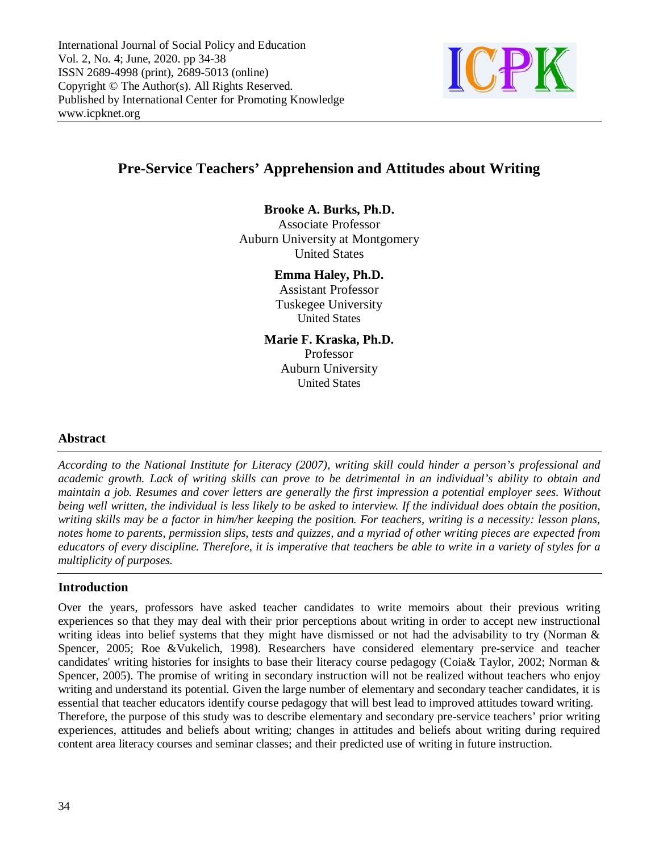

# **Pre-Service Teachers' Apprehension and Attitudes about Writing**

### **Brooke A. Burks, Ph.D.**

Associate Professor Auburn University at Montgomery United States

#### **Emma Haley, Ph.D.**

Assistant Professor Tuskegee University United States

**Marie F. Kraska, Ph.D.** Professor Auburn University United States

### **Abstract**

*According to the National Institute for Literacy (2007), writing skill could hinder a person's professional and academic growth. Lack of writing skills can prove to be detrimental in an individual's ability to obtain and maintain a job. Resumes and cover letters are generally the first impression a potential employer sees. Without being well written, the individual is less likely to be asked to interview. If the individual does obtain the position, writing skills may be a factor in him/her keeping the position. For teachers, writing is a necessity: lesson plans, notes home to parents, permission slips, tests and quizzes, and a myriad of other writing pieces are expected from educators of every discipline. Therefore, it is imperative that teachers be able to write in a variety of styles for a multiplicity of purposes.*

### **Introduction**

Over the years, professors have asked teacher candidates to write memoirs about their previous writing experiences so that they may deal with their prior perceptions about writing in order to accept new instructional writing ideas into belief systems that they might have dismissed or not had the advisability to try (Norman & Spencer, 2005; Roe &Vukelich, 1998). Researchers have considered elementary pre-service and teacher candidates' writing histories for insights to base their literacy course pedagogy (Coia& Taylor, 2002; Norman & Spencer, 2005). The promise of writing in secondary instruction will not be realized without teachers who enjoy writing and understand its potential. Given the large number of elementary and secondary teacher candidates, it is essential that teacher educators identify course pedagogy that will best lead to improved attitudes toward writing. Therefore, the purpose of this study was to describe elementary and secondary pre-service teachers' prior writing experiences, attitudes and beliefs about writing; changes in attitudes and beliefs about writing during required content area literacy courses and seminar classes; and their predicted use of writing in future instruction.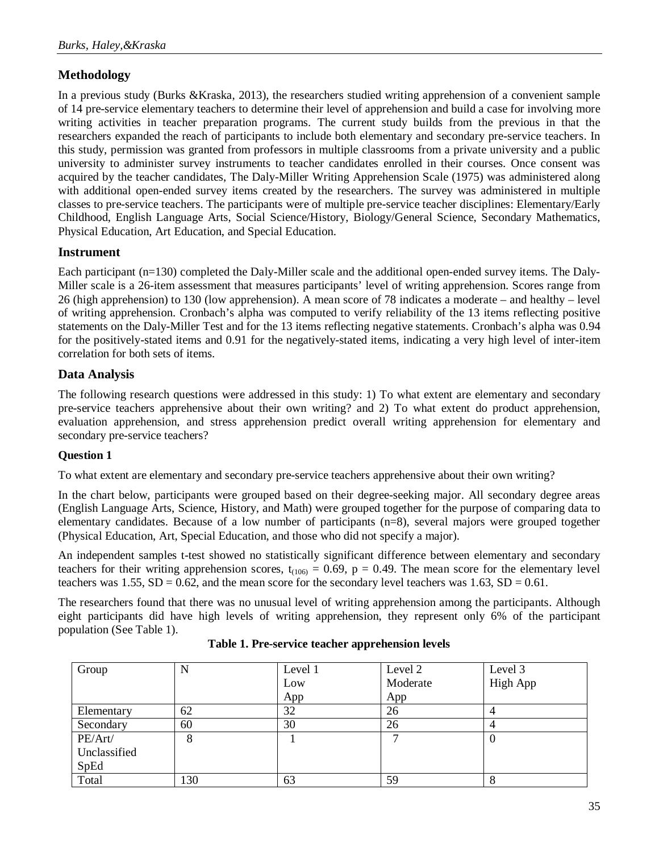## **Methodology**

In a previous study (Burks &Kraska, 2013), the researchers studied writing apprehension of a convenient sample of 14 pre-service elementary teachers to determine their level of apprehension and build a case for involving more writing activities in teacher preparation programs. The current study builds from the previous in that the researchers expanded the reach of participants to include both elementary and secondary pre-service teachers. In this study, permission was granted from professors in multiple classrooms from a private university and a public university to administer survey instruments to teacher candidates enrolled in their courses. Once consent was acquired by the teacher candidates, The Daly-Miller Writing Apprehension Scale (1975) was administered along with additional open-ended survey items created by the researchers. The survey was administered in multiple classes to pre-service teachers. The participants were of multiple pre-service teacher disciplines: Elementary/Early Childhood, English Language Arts, Social Science/History, Biology/General Science, Secondary Mathematics, Physical Education, Art Education, and Special Education.

### **Instrument**

Each participant (n=130) completed the Daly-Miller scale and the additional open-ended survey items. The Daly-Miller scale is a 26-item assessment that measures participants' level of writing apprehension. Scores range from 26 (high apprehension) to 130 (low apprehension). A mean score of 78 indicates a moderate – and healthy – level of writing apprehension. Cronbach's alpha was computed to verify reliability of the 13 items reflecting positive statements on the Daly-Miller Test and for the 13 items reflecting negative statements. Cronbach's alpha was 0.94 for the positively-stated items and 0.91 for the negatively-stated items, indicating a very high level of inter-item correlation for both sets of items.

### **Data Analysis**

The following research questions were addressed in this study: 1) To what extent are elementary and secondary pre-service teachers apprehensive about their own writing? and 2) To what extent do product apprehension, evaluation apprehension, and stress apprehension predict overall writing apprehension for elementary and secondary pre-service teachers?

### **Question 1**

To what extent are elementary and secondary pre-service teachers apprehensive about their own writing?

In the chart below, participants were grouped based on their degree-seeking major. All secondary degree areas (English Language Arts, Science, History, and Math) were grouped together for the purpose of comparing data to elementary candidates. Because of a low number of participants (n=8), several majors were grouped together (Physical Education, Art, Special Education, and those who did not specify a major).

An independent samples t-test showed no statistically significant difference between elementary and secondary teachers for their writing apprehension scores,  $t_{(106)} = 0.69$ ,  $p = 0.49$ . The mean score for the elementary level teachers was  $1.55$ ,  $SD = 0.62$ , and the mean score for the secondary level teachers was  $1.63$ ,  $SD = 0.61$ .

The researchers found that there was no unusual level of writing apprehension among the participants. Although eight participants did have high levels of writing apprehension, they represent only 6% of the participant population (See Table 1).

| Group        | N   | Level 1 | Level 2  | Level 3         |
|--------------|-----|---------|----------|-----------------|
|              |     | Low     | Moderate | <b>High App</b> |
|              |     | App     | App      |                 |
| Elementary   | 62  | 32      | 26       |                 |
| Secondary    | 60  | 30      | 26       |                 |
| PE/Art/      | 8   |         |          | U               |
| Unclassified |     |         |          |                 |
| SpEd         |     |         |          |                 |
| Total        | 130 | 63      | 59       | δ               |

**Table 1. Pre-service teacher apprehension levels**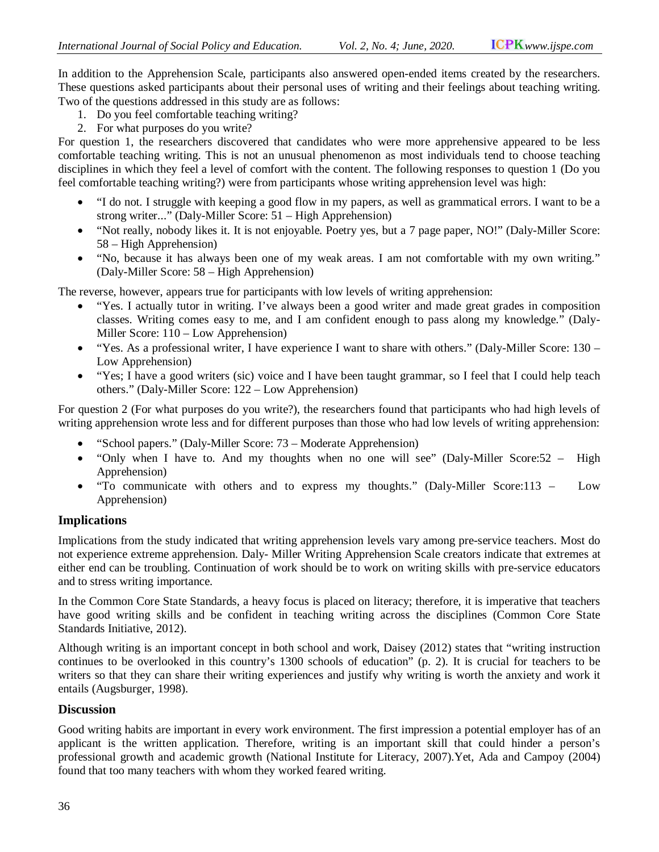In addition to the Apprehension Scale, participants also answered open-ended items created by the researchers. These questions asked participants about their personal uses of writing and their feelings about teaching writing. Two of the questions addressed in this study are as follows:

- 1. Do you feel comfortable teaching writing?
- 2. For what purposes do you write?

For question 1, the researchers discovered that candidates who were more apprehensive appeared to be less comfortable teaching writing. This is not an unusual phenomenon as most individuals tend to choose teaching disciplines in which they feel a level of comfort with the content. The following responses to question 1 (Do you feel comfortable teaching writing?) were from participants whose writing apprehension level was high:

- "I do not. I struggle with keeping a good flow in my papers, as well as grammatical errors. I want to be a strong writer..." (Daly-Miller Score: 51 – High Apprehension)
- "Not really, nobody likes it. It is not enjoyable. Poetry yes, but a 7 page paper, NO!" (Daly-Miller Score: 58 – High Apprehension)
- "No, because it has always been one of my weak areas. I am not comfortable with my own writing." (Daly-Miller Score: 58 – High Apprehension)

The reverse, however, appears true for participants with low levels of writing apprehension:

- "Yes. I actually tutor in writing. I've always been a good writer and made great grades in composition classes. Writing comes easy to me, and I am confident enough to pass along my knowledge." (Daly-Miller Score: 110 – Low Apprehension)
- "Yes. As a professional writer, I have experience I want to share with others." (Daly-Miller Score: 130 Low Apprehension)
- "Yes; I have a good writers (sic) voice and I have been taught grammar, so I feel that I could help teach others." (Daly-Miller Score: 122 – Low Apprehension)

For question 2 (For what purposes do you write?), the researchers found that participants who had high levels of writing apprehension wrote less and for different purposes than those who had low levels of writing apprehension:

- "School papers." (Daly-Miller Score: 73 Moderate Apprehension)
- "Only when I have to. And my thoughts when no one will see" (Daly-Miller Score:  $52 High$ Apprehension)
- "To communicate with others and to express my thoughts." (Daly-Miller Score:113 Low Apprehension)

### **Implications**

Implications from the study indicated that writing apprehension levels vary among pre-service teachers. Most do not experience extreme apprehension. Daly- Miller Writing Apprehension Scale creators indicate that extremes at either end can be troubling. Continuation of work should be to work on writing skills with pre-service educators and to stress writing importance.

In the Common Core State Standards, a heavy focus is placed on literacy; therefore, it is imperative that teachers have good writing skills and be confident in teaching writing across the disciplines (Common Core State Standards Initiative, 2012).

Although writing is an important concept in both school and work, Daisey (2012) states that "writing instruction continues to be overlooked in this country's 1300 schools of education" (p. 2). It is crucial for teachers to be writers so that they can share their writing experiences and justify why writing is worth the anxiety and work it entails (Augsburger, 1998).

### **Discussion**

Good writing habits are important in every work environment. The first impression a potential employer has of an applicant is the written application. Therefore, writing is an important skill that could hinder a person's professional growth and academic growth (National Institute for Literacy, 2007).Yet, Ada and Campoy (2004) found that too many teachers with whom they worked feared writing.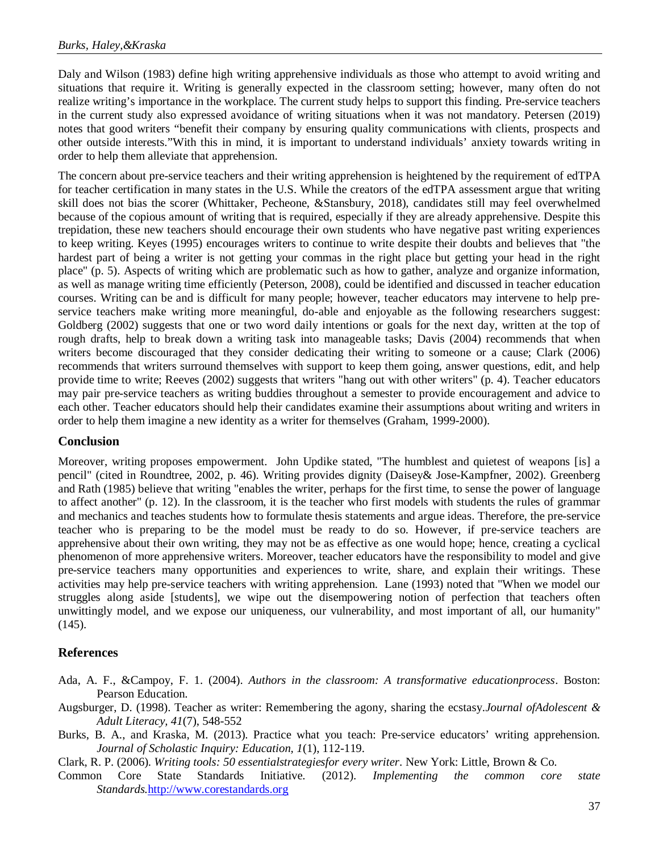Daly and Wilson (1983) define high writing apprehensive individuals as those who attempt to avoid writing and situations that require it. Writing is generally expected in the classroom setting; however, many often do not realize writing's importance in the workplace. The current study helps to support this finding. Pre-service teachers in the current study also expressed avoidance of writing situations when it was not mandatory. Petersen (2019) notes that good writers "benefit their company by ensuring quality communications with clients, prospects and other outside interests."With this in mind, it is important to understand individuals' anxiety towards writing in order to help them alleviate that apprehension.

The concern about pre-service teachers and their writing apprehension is heightened by the requirement of edTPA for teacher certification in many states in the U.S. While the creators of the edTPA assessment argue that writing skill does not bias the scorer (Whittaker, Pecheone, &Stansbury, 2018), candidates still may feel overwhelmed because of the copious amount of writing that is required, especially if they are already apprehensive. Despite this trepidation, these new teachers should encourage their own students who have negative past writing experiences to keep writing. Keyes (1995) encourages writers to continue to write despite their doubts and believes that "the hardest part of being a writer is not getting your commas in the right place but getting your head in the right place" (p. 5). Aspects of writing which are problematic such as how to gather, analyze and organize information, as well as manage writing time efficiently (Peterson, 2008), could be identified and discussed in teacher education courses. Writing can be and is difficult for many people; however, teacher educators may intervene to help preservice teachers make writing more meaningful, do-able and enjoyable as the following researchers suggest: Goldberg (2002) suggests that one or two word daily intentions or goals for the next day, written at the top of rough drafts, help to break down a writing task into manageable tasks; Davis (2004) recommends that when writers become discouraged that they consider dedicating their writing to someone or a cause; Clark (2006) recommends that writers surround themselves with support to keep them going, answer questions, edit, and help provide time to write; Reeves (2002) suggests that writers "hang out with other writers" (p. 4). Teacher educators may pair pre-service teachers as writing buddies throughout a semester to provide encouragement and advice to each other. Teacher educators should help their candidates examine their assumptions about writing and writers in order to help them imagine a new identity as a writer for themselves (Graham, 1999-2000).

### **Conclusion**

Moreover, writing proposes empowerment. John Updike stated, "The humblest and quietest of weapons [is] a pencil" (cited in Roundtree, 2002, p. 46). Writing provides dignity (Daisey& Jose-Kampfner, 2002). Greenberg and Rath (1985) believe that writing "enables the writer, perhaps for the first time, to sense the power of language to affect another" (p. 12). In the classroom, it is the teacher who first models with students the rules of grammar and mechanics and teaches students how to formulate thesis statements and argue ideas. Therefore, the pre-service teacher who is preparing to be the model must be ready to do so. However, if pre-service teachers are apprehensive about their own writing, they may not be as effective as one would hope; hence, creating a cyclical phenomenon of more apprehensive writers. Moreover, teacher educators have the responsibility to model and give pre-service teachers many opportunities and experiences to write, share, and explain their writings. These activities may help pre-service teachers with writing apprehension. Lane (1993) noted that "When we model our struggles along aside [students], we wipe out the disempowering notion of perfection that teachers often unwittingly model, and we expose our uniqueness, our vulnerability, and most important of all, our humanity"  $(145)$ .

### **References**

- Ada, A. F., &Campoy, F. 1. (2004). *Authors in the classroom: A transformative educationprocess*. Boston: Pearson Education.
- Augsburger, D. (1998). Teacher as writer: Remembering the agony, sharing the ecstasy.*Journal ofAdolescent & Adult Literacy, 41*(7), 548-552
- Burks, B. A., and Kraska, M. (2013). Practice what you teach: Pre-service educators' writing apprehension. *Journal of Scholastic Inquiry: Education, 1*(1), 112-119.
- Clark, R. P. (2006). *Writing tools: 50 essentialstrategiesfor every writer*. New York: Little, Brown & Co.
- Common Core State Standards Initiative. (2012). *Implementing the common core state Standards.*http://www.corestandards.org